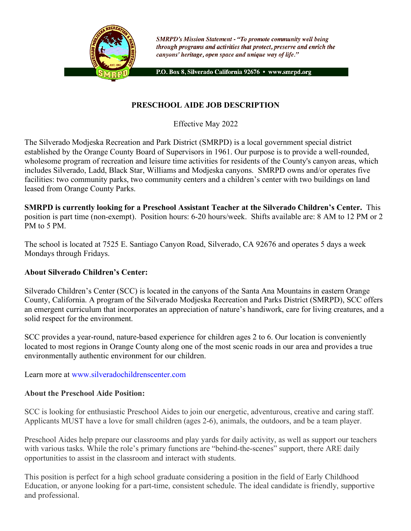

**SMRPD's Mission Statement - "To promote community well being** through programs and activities that protect, preserve and enrich the canyons' heritage, open space and unique way of life."

P.O. Box 8, Silverado California 92676 · www.smrpd.org

# **PRESCHOOL AIDE JOB DESCRIPTION**

Effective May 2022

The Silverado Modjeska Recreation and Park District (SMRPD) is a local government special district established by the Orange County Board of Supervisors in 1961. Our purpose is to provide a well-rounded, wholesome program of recreation and leisure time activities for residents of the County's canyon areas, which includes Silverado, Ladd, Black Star, Williams and Modjeska canyons. SMRPD owns and/or operates five facilities: two community parks, two community centers and a children's center with two buildings on land leased from Orange County Parks.

**SMRPD is currently looking for a Preschool Assistant Teacher at the Silverado Children's Center.** This position is part time (non-exempt). Position hours: 6-20 hours/week. Shifts available are: 8 AM to 12 PM or 2 PM to 5 PM.

The school is located at 7525 E. Santiago Canyon Road, Silverado, CA 92676 and operates 5 days a week Mondays through Fridays.

## **About Silverado Children's Center:**

Silverado Children's Center (SCC) is located in the canyons of the Santa Ana Mountains in eastern Orange County, California. A program of the Silverado Modjeska Recreation and Parks District (SMRPD), SCC offers an emergent curriculum that incorporates an appreciation of nature's handiwork, care for living creatures, and a solid respect for the environment.

SCC provides a year-round, nature-based experience for children ages 2 to 6. Our location is conveniently located to most regions in Orange County along one of the most scenic roads in our area and provides a true environmentally authentic environment for our children.

Learn more at www.silveradochildrenscenter.com

#### **About the Preschool Aide Position:**

SCC is looking for enthusiastic Preschool Aides to join our energetic, adventurous, creative and caring staff. Applicants MUST have a love for small children (ages 2-6), animals, the outdoors, and be a team player.

Preschool Aides help prepare our classrooms and play yards for daily activity, as well as support our teachers with various tasks. While the role's primary functions are "behind-the-scenes" support, there ARE daily opportunities to assist in the classroom and interact with students.

This position is perfect for a high school graduate considering a position in the field of Early Childhood Education, or anyone looking for a part-time, consistent schedule. The ideal candidate is friendly, supportive and professional.